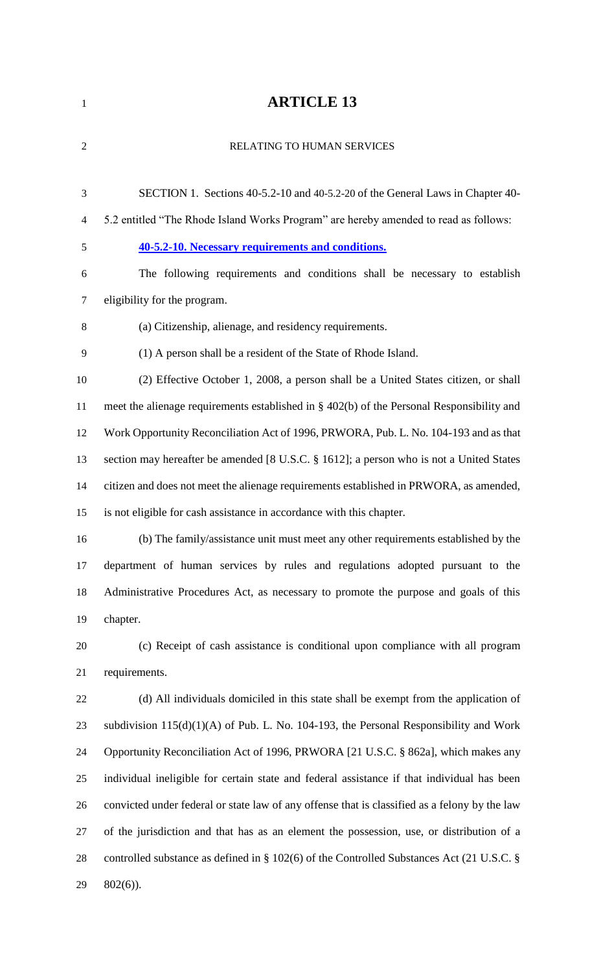| $\mathbf{1}$   | <b>ARTICLE 13</b>                                                                             |
|----------------|-----------------------------------------------------------------------------------------------|
| $\overline{2}$ | RELATING TO HUMAN SERVICES                                                                    |
| 3              | SECTION 1. Sections 40-5.2-10 and 40-5.2-20 of the General Laws in Chapter 40-                |
| $\overline{4}$ | 5.2 entitled "The Rhode Island Works Program" are hereby amended to read as follows:          |
| 5              | 40-5.2-10. Necessary requirements and conditions.                                             |
| 6              | The following requirements and conditions shall be necessary to establish                     |
| $\tau$         | eligibility for the program.                                                                  |
| 8              | (a) Citizenship, alienage, and residency requirements.                                        |
| 9              | (1) A person shall be a resident of the State of Rhode Island.                                |
| 10             | (2) Effective October 1, 2008, a person shall be a United States citizen, or shall            |
| 11             | meet the alienage requirements established in § 402(b) of the Personal Responsibility and     |
| 12             | Work Opportunity Reconciliation Act of 1996, PRWORA, Pub. L. No. 104-193 and as that          |
| 13             | section may hereafter be amended [8 U.S.C. § 1612]; a person who is not a United States       |
| 14             | citizen and does not meet the alienage requirements established in PRWORA, as amended,        |
| 15             | is not eligible for cash assistance in accordance with this chapter.                          |
| 16             | (b) The family/assistance unit must meet any other requirements established by the            |
| 17             | department of human services by rules and regulations adopted pursuant to the                 |
| 18             | Administrative Procedures Act, as necessary to promote the purpose and goals of this          |
| 19             | chapter.                                                                                      |
| 20             | (c) Receipt of cash assistance is conditional upon compliance with all program                |
| 21             | requirements.                                                                                 |
| 22             | (d) All individuals domiciled in this state shall be exempt from the application of           |
| 23             | subdivision $115(d)(1)(A)$ of Pub. L. No. 104-193, the Personal Responsibility and Work       |
| 24             | Opportunity Reconciliation Act of 1996, PRWORA [21 U.S.C. § 862a], which makes any            |
| 25             | individual ineligible for certain state and federal assistance if that individual has been    |
| 26             | convicted under federal or state law of any offense that is classified as a felony by the law |
| 27             | of the jurisdiction and that has as an element the possession, use, or distribution of a      |

28 controlled substance as defined in § 102(6) of the Controlled Substances Act (21 U.S.C. § 802(6)).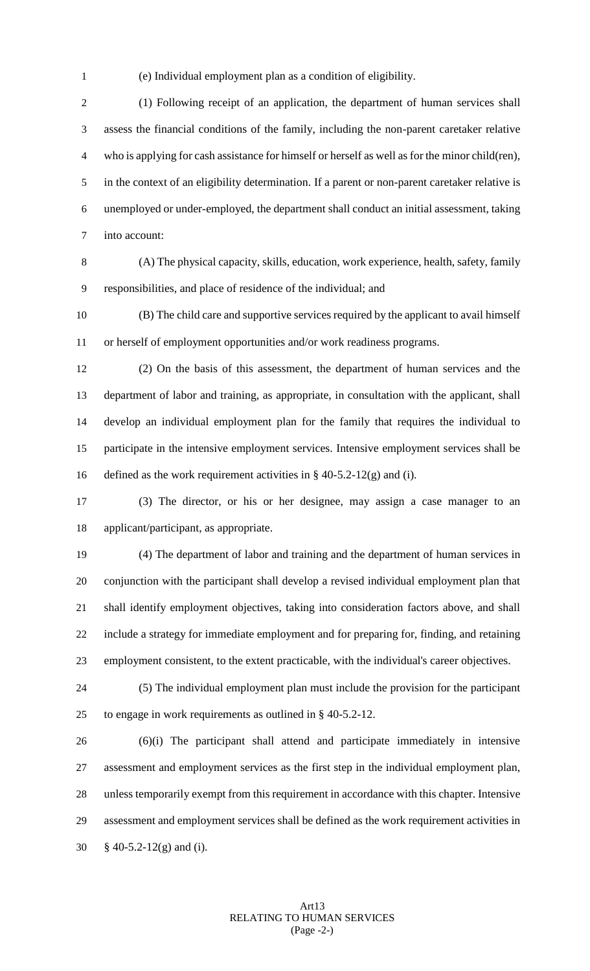(e) Individual employment plan as a condition of eligibility.

 (1) Following receipt of an application, the department of human services shall assess the financial conditions of the family, including the non-parent caretaker relative who is applying for cash assistance for himself or herself as well as for the minor child(ren), in the context of an eligibility determination. If a parent or non-parent caretaker relative is unemployed or under-employed, the department shall conduct an initial assessment, taking into account:

 (A) The physical capacity, skills, education, work experience, health, safety, family responsibilities, and place of residence of the individual; and

 (B) The child care and supportive services required by the applicant to avail himself or herself of employment opportunities and/or work readiness programs.

 (2) On the basis of this assessment, the department of human services and the department of labor and training, as appropriate, in consultation with the applicant, shall develop an individual employment plan for the family that requires the individual to participate in the intensive employment services. Intensive employment services shall be 16 defined as the work requirement activities in  $\S$  40-5.2-12(g) and (i).

 (3) The director, or his or her designee, may assign a case manager to an applicant/participant, as appropriate.

 (4) The department of labor and training and the department of human services in conjunction with the participant shall develop a revised individual employment plan that shall identify employment objectives, taking into consideration factors above, and shall include a strategy for immediate employment and for preparing for, finding, and retaining employment consistent, to the extent practicable, with the individual's career objectives.

 (5) The individual employment plan must include the provision for the participant to engage in work requirements as outlined in § 40-5.2-12.

 (6)(i) The participant shall attend and participate immediately in intensive assessment and employment services as the first step in the individual employment plan, unless temporarily exempt from this requirement in accordance with this chapter. Intensive assessment and employment services shall be defined as the work requirement activities in § 40-5.2-12(g) and (i).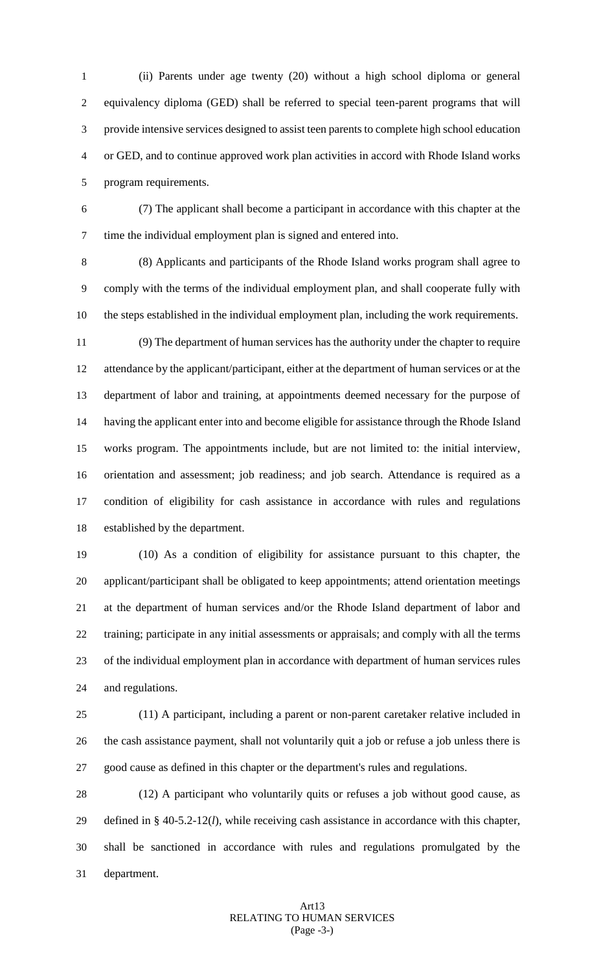(ii) Parents under age twenty (20) without a high school diploma or general equivalency diploma (GED) shall be referred to special teen-parent programs that will provide intensive services designed to assist teen parents to complete high school education or GED, and to continue approved work plan activities in accord with Rhode Island works program requirements.

 (7) The applicant shall become a participant in accordance with this chapter at the time the individual employment plan is signed and entered into.

 (8) Applicants and participants of the Rhode Island works program shall agree to comply with the terms of the individual employment plan, and shall cooperate fully with the steps established in the individual employment plan, including the work requirements.

 (9) The department of human services has the authority under the chapter to require attendance by the applicant/participant, either at the department of human services or at the department of labor and training, at appointments deemed necessary for the purpose of having the applicant enter into and become eligible for assistance through the Rhode Island works program. The appointments include, but are not limited to: the initial interview, orientation and assessment; job readiness; and job search. Attendance is required as a condition of eligibility for cash assistance in accordance with rules and regulations established by the department.

 (10) As a condition of eligibility for assistance pursuant to this chapter, the applicant/participant shall be obligated to keep appointments; attend orientation meetings at the department of human services and/or the Rhode Island department of labor and training; participate in any initial assessments or appraisals; and comply with all the terms of the individual employment plan in accordance with department of human services rules and regulations.

 (11) A participant, including a parent or non-parent caretaker relative included in the cash assistance payment, shall not voluntarily quit a job or refuse a job unless there is good cause as defined in this chapter or the department's rules and regulations.

 (12) A participant who voluntarily quits or refuses a job without good cause, as defined in § 40-5.2-12(*l*), while receiving cash assistance in accordance with this chapter, shall be sanctioned in accordance with rules and regulations promulgated by the department.

## Art13 RELATING TO HUMAN SERVICES (Page -3-)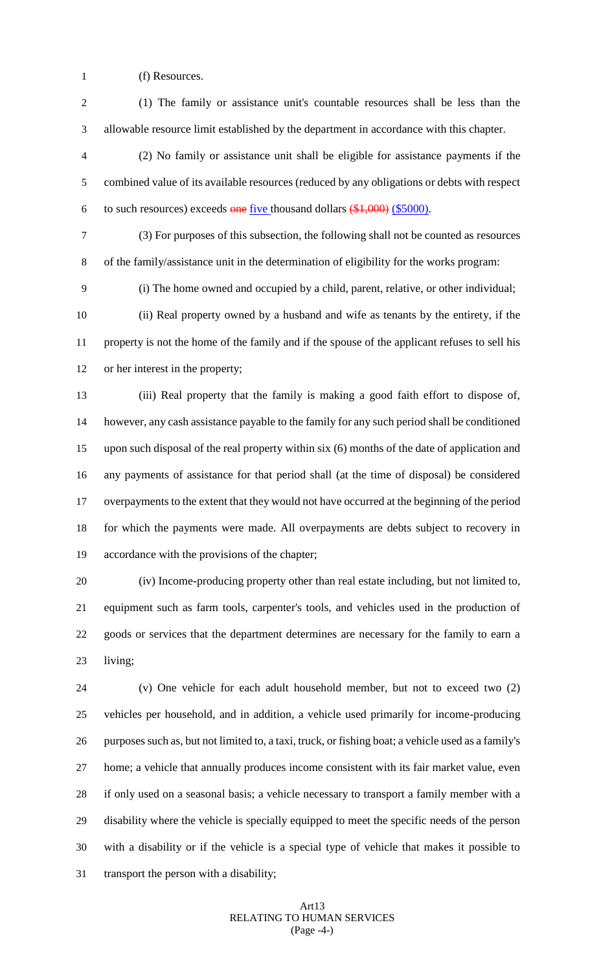- (f) Resources.
- (1) The family or assistance unit's countable resources shall be less than the allowable resource limit established by the department in accordance with this chapter.
- (2) No family or assistance unit shall be eligible for assistance payments if the combined value of its available resources (reduced by any obligations or debts with respect 6 to such resources) exceeds one five thousand dollars  $(\$1,000)$  (\$5000).
- (3) For purposes of this subsection, the following shall not be counted as resources of the family/assistance unit in the determination of eligibility for the works program:
- (i) The home owned and occupied by a child, parent, relative, or other individual;

 (ii) Real property owned by a husband and wife as tenants by the entirety, if the property is not the home of the family and if the spouse of the applicant refuses to sell his or her interest in the property;

 (iii) Real property that the family is making a good faith effort to dispose of, however, any cash assistance payable to the family for any such period shall be conditioned upon such disposal of the real property within six (6) months of the date of application and any payments of assistance for that period shall (at the time of disposal) be considered overpayments to the extent that they would not have occurred at the beginning of the period for which the payments were made. All overpayments are debts subject to recovery in accordance with the provisions of the chapter;

 (iv) Income-producing property other than real estate including, but not limited to, equipment such as farm tools, carpenter's tools, and vehicles used in the production of goods or services that the department determines are necessary for the family to earn a living;

 (v) One vehicle for each adult household member, but not to exceed two (2) vehicles per household, and in addition, a vehicle used primarily for income-producing purposes such as, but not limited to, a taxi, truck, or fishing boat; a vehicle used as a family's home; a vehicle that annually produces income consistent with its fair market value, even if only used on a seasonal basis; a vehicle necessary to transport a family member with a disability where the vehicle is specially equipped to meet the specific needs of the person with a disability or if the vehicle is a special type of vehicle that makes it possible to transport the person with a disability;

## Art13 RELATING TO HUMAN SERVICES (Page -4-)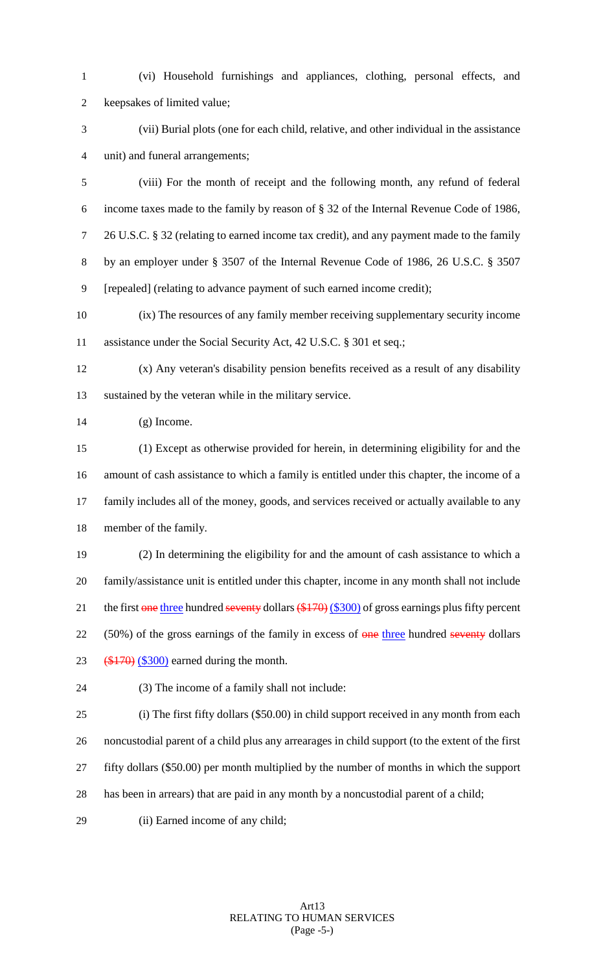(vi) Household furnishings and appliances, clothing, personal effects, and keepsakes of limited value;

 (vii) Burial plots (one for each child, relative, and other individual in the assistance unit) and funeral arrangements;

 (viii) For the month of receipt and the following month, any refund of federal income taxes made to the family by reason of § 32 of the Internal Revenue Code of 1986, 26 U.S.C. § 32 (relating to earned income tax credit), and any payment made to the family by an employer under § 3507 of the Internal Revenue Code of 1986, 26 U.S.C. § 3507 [repealed] (relating to advance payment of such earned income credit);

 (ix) The resources of any family member receiving supplementary security income 11 assistance under the Social Security Act, 42 U.S.C. § 301 et seq.;

 (x) Any veteran's disability pension benefits received as a result of any disability sustained by the veteran while in the military service.

(g) Income.

 (1) Except as otherwise provided for herein, in determining eligibility for and the amount of cash assistance to which a family is entitled under this chapter, the income of a family includes all of the money, goods, and services received or actually available to any member of the family.

 (2) In determining the eligibility for and the amount of cash assistance to which a family/assistance unit is entitled under this chapter, income in any month shall not include 21 the first one three hundred seventy dollars  $(\frac{$170}{9})$  (\$300) of gross earnings plus fifty percent 22 (50%) of the gross earnings of the family in excess of one three hundred seventy dollars 23  $(*170)$   $(*300)$  earned during the month.

(3) The income of a family shall not include:

 (i) The first fifty dollars (\$50.00) in child support received in any month from each noncustodial parent of a child plus any arrearages in child support (to the extent of the first fifty dollars (\$50.00) per month multiplied by the number of months in which the support has been in arrears) that are paid in any month by a noncustodial parent of a child;

(ii) Earned income of any child;

# Art13 RELATING TO HUMAN SERVICES (Page -5-)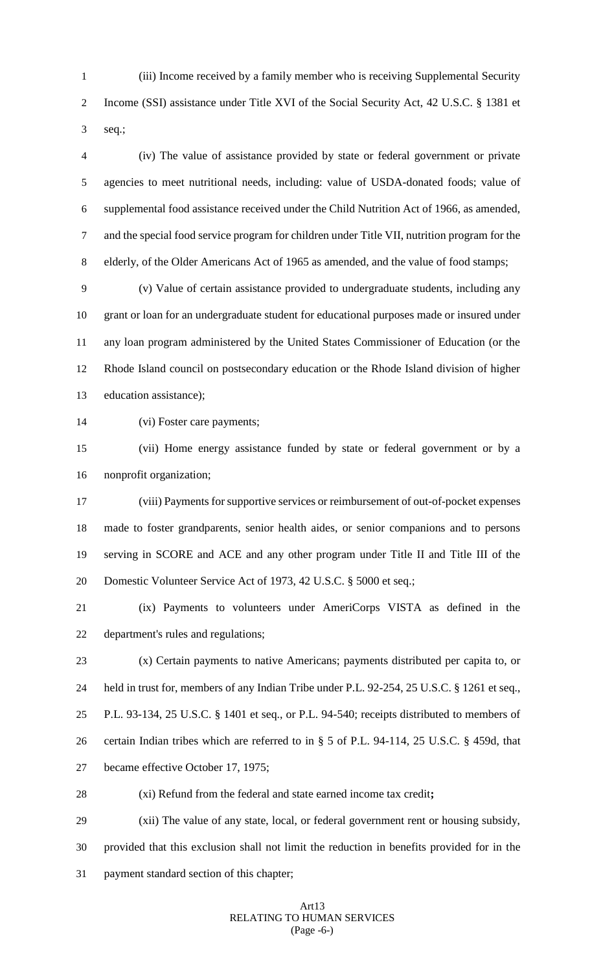(iii) Income received by a family member who is receiving Supplemental Security Income (SSI) assistance under Title XVI of the Social Security Act, 42 U.S.C. § 1381 et seq.;

 (iv) The value of assistance provided by state or federal government or private agencies to meet nutritional needs, including: value of USDA-donated foods; value of supplemental food assistance received under the Child Nutrition Act of 1966, as amended, and the special food service program for children under Title VII, nutrition program for the elderly, of the Older Americans Act of 1965 as amended, and the value of food stamps;

 (v) Value of certain assistance provided to undergraduate students, including any grant or loan for an undergraduate student for educational purposes made or insured under any loan program administered by the United States Commissioner of Education (or the Rhode Island council on postsecondary education or the Rhode Island division of higher education assistance);

(vi) Foster care payments;

 (vii) Home energy assistance funded by state or federal government or by a nonprofit organization;

 (viii) Payments for supportive services or reimbursement of out-of-pocket expenses made to foster grandparents, senior health aides, or senior companions and to persons serving in SCORE and ACE and any other program under Title II and Title III of the 20 Domestic Volunteer Service Act of 1973, 42 U.S.C. § 5000 et seq.;

 (ix) Payments to volunteers under AmeriCorps VISTA as defined in the department's rules and regulations;

 (x) Certain payments to native Americans; payments distributed per capita to, or held in trust for, members of any Indian Tribe under P.L. 92-254, 25 U.S.C. § 1261 et seq., P.L. 93-134, 25 U.S.C. § 1401 et seq., or P.L. 94-540; receipts distributed to members of certain Indian tribes which are referred to in § 5 of P.L. 94-114, 25 U.S.C. § 459d, that became effective October 17, 1975;

(xi) Refund from the federal and state earned income tax credit**;**

 (xii) The value of any state, local, or federal government rent or housing subsidy, provided that this exclusion shall not limit the reduction in benefits provided for in the payment standard section of this chapter;

## Art13 RELATING TO HUMAN SERVICES (Page -6-)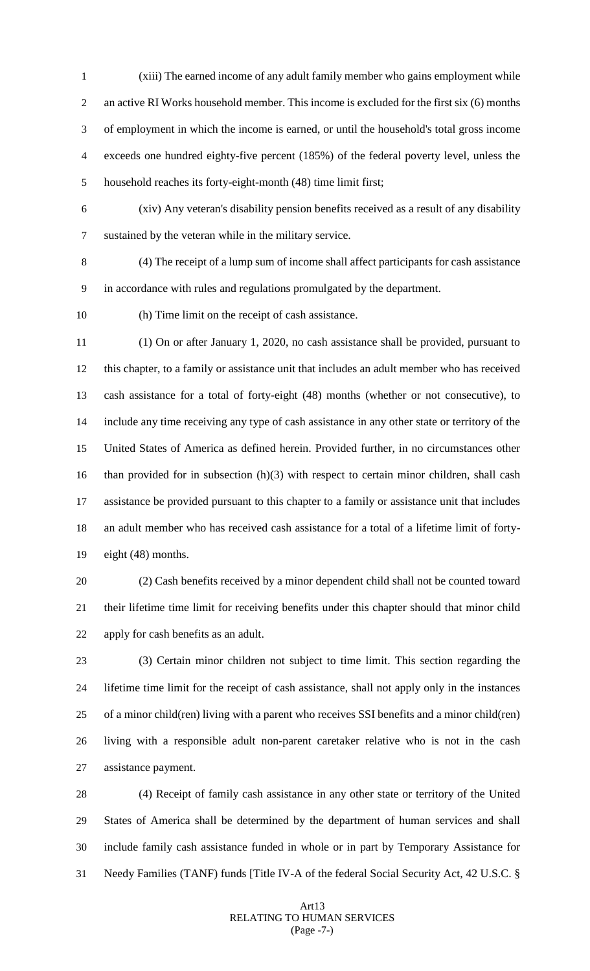(xiii) The earned income of any adult family member who gains employment while an active RI Works household member. This income is excluded for the first six (6) months of employment in which the income is earned, or until the household's total gross income exceeds one hundred eighty-five percent (185%) of the federal poverty level, unless the household reaches its forty-eight-month (48) time limit first;

 (xiv) Any veteran's disability pension benefits received as a result of any disability sustained by the veteran while in the military service.

 (4) The receipt of a lump sum of income shall affect participants for cash assistance in accordance with rules and regulations promulgated by the department.

(h) Time limit on the receipt of cash assistance.

 (1) On or after January 1, 2020, no cash assistance shall be provided, pursuant to this chapter, to a family or assistance unit that includes an adult member who has received cash assistance for a total of forty-eight (48) months (whether or not consecutive), to include any time receiving any type of cash assistance in any other state or territory of the United States of America as defined herein. Provided further, in no circumstances other 16 than provided for in subsection (h)(3) with respect to certain minor children, shall cash assistance be provided pursuant to this chapter to a family or assistance unit that includes an adult member who has received cash assistance for a total of a lifetime limit of forty-eight (48) months.

 (2) Cash benefits received by a minor dependent child shall not be counted toward their lifetime time limit for receiving benefits under this chapter should that minor child apply for cash benefits as an adult.

 (3) Certain minor children not subject to time limit. This section regarding the lifetime time limit for the receipt of cash assistance, shall not apply only in the instances of a minor child(ren) living with a parent who receives SSI benefits and a minor child(ren) living with a responsible adult non-parent caretaker relative who is not in the cash assistance payment.

 (4) Receipt of family cash assistance in any other state or territory of the United States of America shall be determined by the department of human services and shall include family cash assistance funded in whole or in part by Temporary Assistance for Needy Families (TANF) funds [Title IV-A of the federal Social Security Act, 42 U.S.C. §

## Art13 RELATING TO HUMAN SERVICES (Page -7-)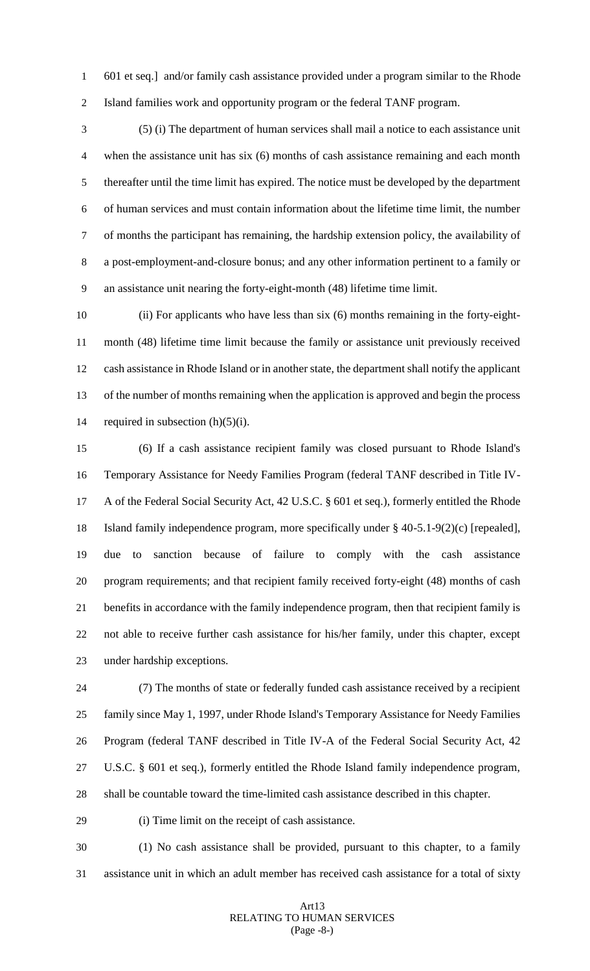601 et seq.] and/or family cash assistance provided under a program similar to the Rhode Island families work and opportunity program or the federal TANF program.

 (5) (i) The department of human services shall mail a notice to each assistance unit when the assistance unit has six (6) months of cash assistance remaining and each month thereafter until the time limit has expired. The notice must be developed by the department of human services and must contain information about the lifetime time limit, the number of months the participant has remaining, the hardship extension policy, the availability of a post-employment-and-closure bonus; and any other information pertinent to a family or an assistance unit nearing the forty-eight-month (48) lifetime time limit.

 (ii) For applicants who have less than six (6) months remaining in the forty-eight- month (48) lifetime time limit because the family or assistance unit previously received cash assistance in Rhode Island or in another state, the department shall notify the applicant of the number of months remaining when the application is approved and begin the process 14 required in subsection  $(h)(5)(i)$ .

 (6) If a cash assistance recipient family was closed pursuant to Rhode Island's Temporary Assistance for Needy Families Program (federal TANF described in Title IV- A of the Federal Social Security Act, 42 U.S.C. § 601 et seq.), formerly entitled the Rhode Island family independence program, more specifically under § 40-5.1-9(2)(c) [repealed], due to sanction because of failure to comply with the cash assistance program requirements; and that recipient family received forty-eight (48) months of cash benefits in accordance with the family independence program, then that recipient family is not able to receive further cash assistance for his/her family, under this chapter, except under hardship exceptions.

 (7) The months of state or federally funded cash assistance received by a recipient family since May 1, 1997, under Rhode Island's Temporary Assistance for Needy Families Program (federal TANF described in Title IV-A of the Federal Social Security Act, 42 U.S.C. § 601 et seq.), formerly entitled the Rhode Island family independence program, shall be countable toward the time-limited cash assistance described in this chapter.

(i) Time limit on the receipt of cash assistance.

 (1) No cash assistance shall be provided, pursuant to this chapter, to a family assistance unit in which an adult member has received cash assistance for a total of sixty

#### Art13 RELATING TO HUMAN SERVICES (Page -8-)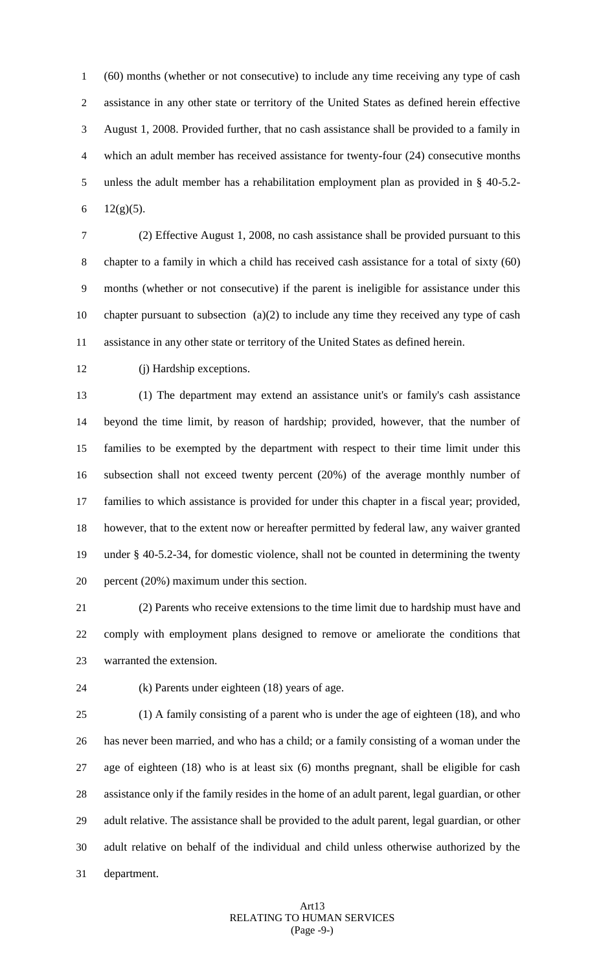(60) months (whether or not consecutive) to include any time receiving any type of cash assistance in any other state or territory of the United States as defined herein effective August 1, 2008. Provided further, that no cash assistance shall be provided to a family in which an adult member has received assistance for twenty-four (24) consecutive months unless the adult member has a rehabilitation employment plan as provided in § 40-5.2-  $12(g)(5)$ .

 (2) Effective August 1, 2008, no cash assistance shall be provided pursuant to this chapter to a family in which a child has received cash assistance for a total of sixty (60) months (whether or not consecutive) if the parent is ineligible for assistance under this chapter pursuant to subsection (a)(2) to include any time they received any type of cash assistance in any other state or territory of the United States as defined herein.

(j) Hardship exceptions.

 (1) The department may extend an assistance unit's or family's cash assistance beyond the time limit, by reason of hardship; provided, however, that the number of families to be exempted by the department with respect to their time limit under this subsection shall not exceed twenty percent (20%) of the average monthly number of families to which assistance is provided for under this chapter in a fiscal year; provided, however, that to the extent now or hereafter permitted by federal law, any waiver granted under § 40-5.2-34, for domestic violence, shall not be counted in determining the twenty percent (20%) maximum under this section.

 (2) Parents who receive extensions to the time limit due to hardship must have and comply with employment plans designed to remove or ameliorate the conditions that warranted the extension.

(k) Parents under eighteen (18) years of age.

 (1) A family consisting of a parent who is under the age of eighteen (18), and who has never been married, and who has a child; or a family consisting of a woman under the age of eighteen (18) who is at least six (6) months pregnant, shall be eligible for cash assistance only if the family resides in the home of an adult parent, legal guardian, or other adult relative. The assistance shall be provided to the adult parent, legal guardian, or other adult relative on behalf of the individual and child unless otherwise authorized by the department.

## Art13 RELATING TO HUMAN SERVICES (Page -9-)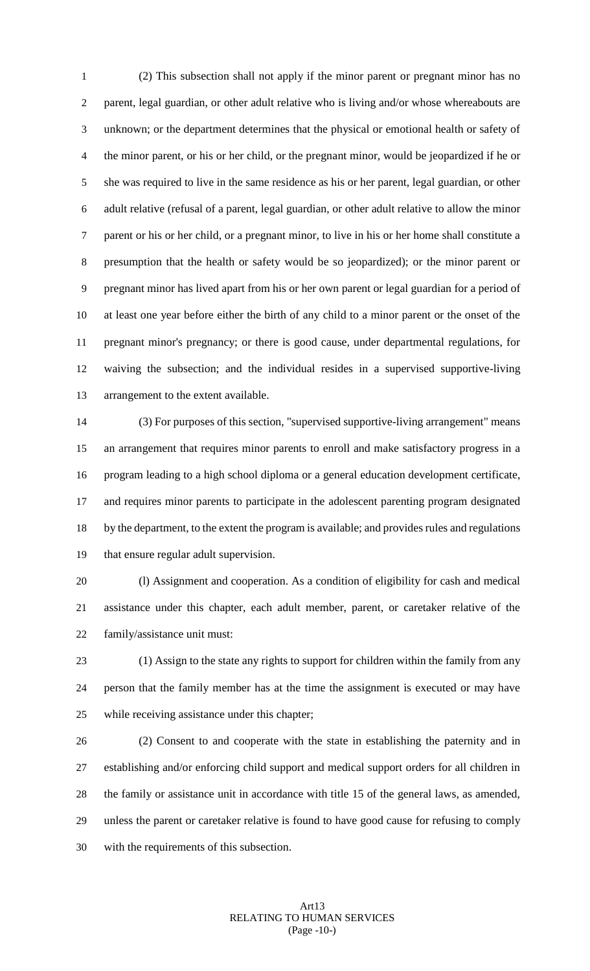(2) This subsection shall not apply if the minor parent or pregnant minor has no parent, legal guardian, or other adult relative who is living and/or whose whereabouts are unknown; or the department determines that the physical or emotional health or safety of the minor parent, or his or her child, or the pregnant minor, would be jeopardized if he or she was required to live in the same residence as his or her parent, legal guardian, or other adult relative (refusal of a parent, legal guardian, or other adult relative to allow the minor parent or his or her child, or a pregnant minor, to live in his or her home shall constitute a presumption that the health or safety would be so jeopardized); or the minor parent or pregnant minor has lived apart from his or her own parent or legal guardian for a period of at least one year before either the birth of any child to a minor parent or the onset of the pregnant minor's pregnancy; or there is good cause, under departmental regulations, for waiving the subsection; and the individual resides in a supervised supportive-living arrangement to the extent available.

 (3) For purposes of this section, "supervised supportive-living arrangement" means an arrangement that requires minor parents to enroll and make satisfactory progress in a program leading to a high school diploma or a general education development certificate, and requires minor parents to participate in the adolescent parenting program designated by the department, to the extent the program is available; and provides rules and regulations that ensure regular adult supervision.

 (l) Assignment and cooperation. As a condition of eligibility for cash and medical assistance under this chapter, each adult member, parent, or caretaker relative of the family/assistance unit must:

 (1) Assign to the state any rights to support for children within the family from any person that the family member has at the time the assignment is executed or may have while receiving assistance under this chapter;

 (2) Consent to and cooperate with the state in establishing the paternity and in establishing and/or enforcing child support and medical support orders for all children in the family or assistance unit in accordance with title 15 of the general laws, as amended, unless the parent or caretaker relative is found to have good cause for refusing to comply with the requirements of this subsection.

## Art13 RELATING TO HUMAN SERVICES (Page -10-)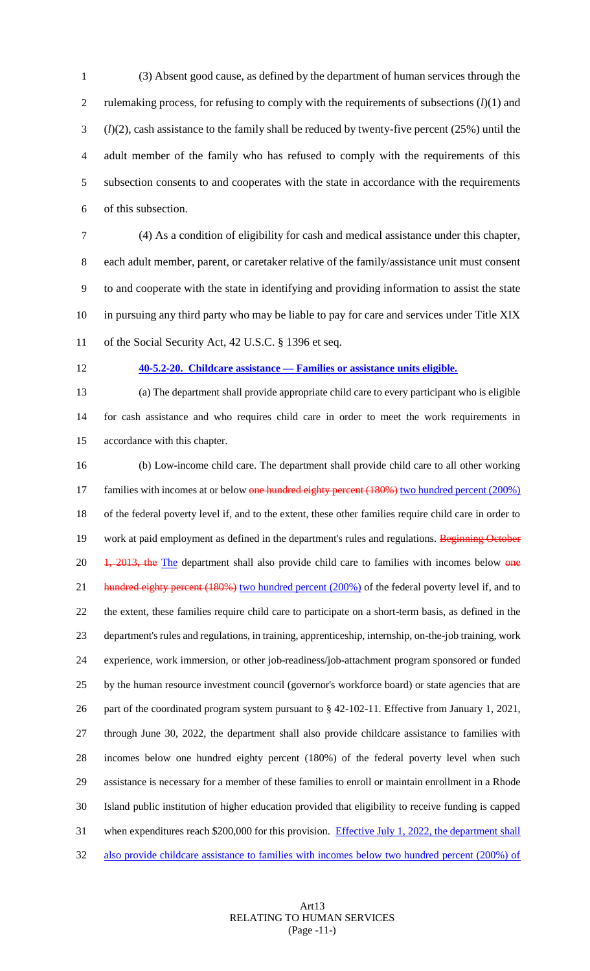(3) Absent good cause, as defined by the department of human services through the rulemaking process, for refusing to comply with the requirements of subsections (*l*)(1) and (*l*)(2), cash assistance to the family shall be reduced by twenty-five percent (25%) until the adult member of the family who has refused to comply with the requirements of this subsection consents to and cooperates with the state in accordance with the requirements of this subsection.

 (4) As a condition of eligibility for cash and medical assistance under this chapter, each adult member, parent, or caretaker relative of the family/assistance unit must consent to and cooperate with the state in identifying and providing information to assist the state in pursuing any third party who may be liable to pay for care and services under Title XIX

of the Social Security Act, 42 U.S.C. § 1396 et seq.

**40-5.2-20. Childcare assistance — Families or assistance units eligible.** 

 (a) The department shall provide appropriate child care to every participant who is eligible for cash assistance and who requires child care in order to meet the work requirements in accordance with this chapter.

 (b) Low-income child care. The department shall provide child care to all other working 17 families with incomes at or below one hundred eighty percent (180%) two hundred percent (200%) of the federal poverty level if, and to the extent, these other families require child care in order to 19 work at paid employment as defined in the department's rules and regulations. Beginning October 20 1, 2013, the The department shall also provide child care to families with incomes below one 21 hundred eighty percent (180%) two hundred percent (200%) of the federal poverty level if, and to the extent, these families require child care to participate on a short-term basis, as defined in the department's rules and regulations, in training, apprenticeship, internship, on-the-job training, work experience, work immersion, or other job-readiness/job-attachment program sponsored or funded by the human resource investment council (governor's workforce board) or state agencies that are part of the coordinated program system pursuant to § 42-102-11. Effective from January 1, 2021, through June 30, 2022, the department shall also provide childcare assistance to families with incomes below one hundred eighty percent (180%) of the federal poverty level when such assistance is necessary for a member of these families to enroll or maintain enrollment in a Rhode Island public institution of higher education provided that eligibility to receive funding is capped 31 when expenditures reach \$200,000 for this provision. Effective July 1, 2022, the department shall also provide childcare assistance to families with incomes below two hundred percent (200%) of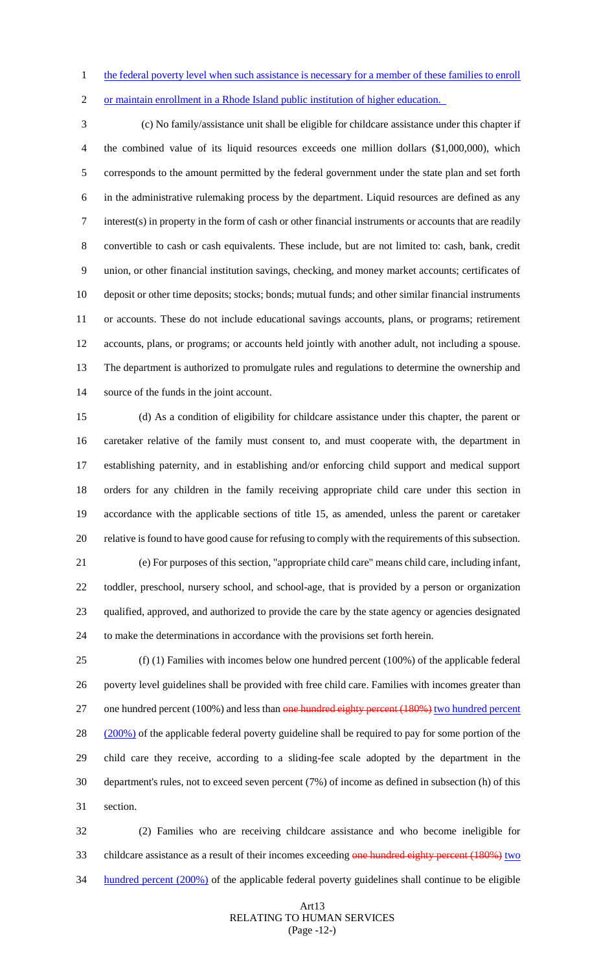1 the federal poverty level when such assistance is necessary for a member of these families to enroll

or maintain enrollment in a Rhode Island public institution of higher education.

 (c) No family/assistance unit shall be eligible for childcare assistance under this chapter if the combined value of its liquid resources exceeds one million dollars (\$1,000,000), which corresponds to the amount permitted by the federal government under the state plan and set forth in the administrative rulemaking process by the department. Liquid resources are defined as any interest(s) in property in the form of cash or other financial instruments or accounts that are readily convertible to cash or cash equivalents. These include, but are not limited to: cash, bank, credit union, or other financial institution savings, checking, and money market accounts; certificates of deposit or other time deposits; stocks; bonds; mutual funds; and other similar financial instruments or accounts. These do not include educational savings accounts, plans, or programs; retirement accounts, plans, or programs; or accounts held jointly with another adult, not including a spouse. The department is authorized to promulgate rules and regulations to determine the ownership and source of the funds in the joint account.

 (d) As a condition of eligibility for childcare assistance under this chapter, the parent or caretaker relative of the family must consent to, and must cooperate with, the department in establishing paternity, and in establishing and/or enforcing child support and medical support orders for any children in the family receiving appropriate child care under this section in accordance with the applicable sections of title 15, as amended, unless the parent or caretaker relative is found to have good cause for refusing to comply with the requirements of this subsection.

 (e) For purposes of this section, "appropriate child care" means child care, including infant, toddler, preschool, nursery school, and school-age, that is provided by a person or organization qualified, approved, and authorized to provide the care by the state agency or agencies designated to make the determinations in accordance with the provisions set forth herein.

 (f) (1) Families with incomes below one hundred percent (100%) of the applicable federal poverty level guidelines shall be provided with free child care. Families with incomes greater than 27 one hundred percent (100%) and less than one hundred eighty percent (180%) two hundred percent 28 (200%) of the applicable federal poverty guideline shall be required to pay for some portion of the child care they receive, according to a sliding-fee scale adopted by the department in the department's rules, not to exceed seven percent (7%) of income as defined in subsection (h) of this section.

 (2) Families who are receiving childcare assistance and who become ineligible for 33 childcare assistance as a result of their incomes exceeding one hundred eighty percent (180%) two 34 hundred percent (200%) of the applicable federal poverty guidelines shall continue to be eligible

## Art13 RELATING TO HUMAN SERVICES (Page -12-)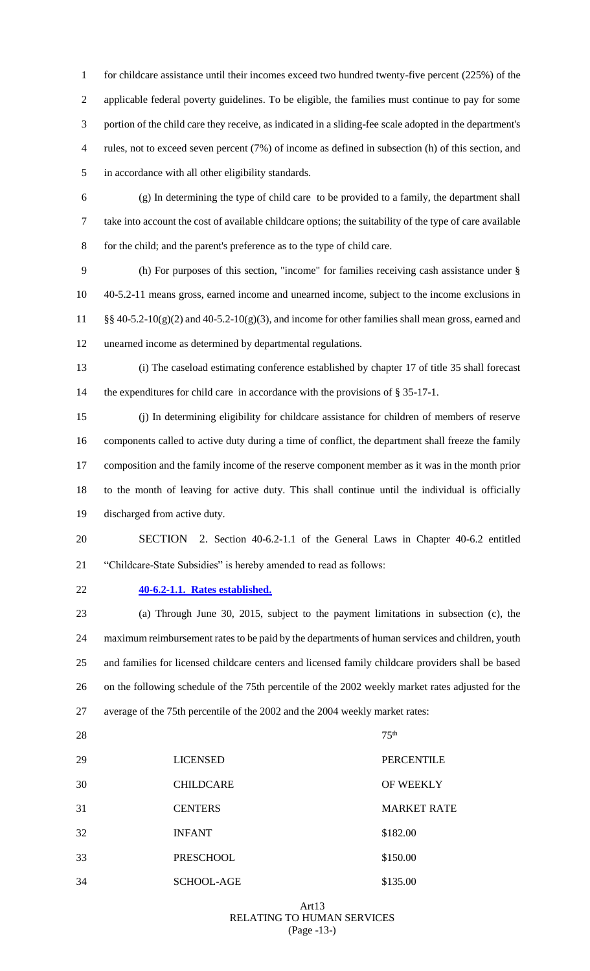1 for childcare assistance until their incomes exceed two hundred twenty-five percent (225%) of the applicable federal poverty guidelines. To be eligible, the families must continue to pay for some portion of the child care they receive, as indicated in a sliding-fee scale adopted in the department's rules, not to exceed seven percent (7%) of income as defined in subsection (h) of this section, and in accordance with all other eligibility standards.

 (g) In determining the type of child care to be provided to a family, the department shall take into account the cost of available childcare options; the suitability of the type of care available for the child; and the parent's preference as to the type of child care.

 (h) For purposes of this section, "income" for families receiving cash assistance under § 40-5.2-11 means gross, earned income and unearned income, subject to the income exclusions in §§ 40-5.2-10(g)(2) and 40-5.2-10(g)(3), and income for other families shall mean gross, earned and unearned income as determined by departmental regulations.

 (i) The caseload estimating conference established by chapter 17 of title 35 shall forecast 14 the expenditures for child care in accordance with the provisions of § 35-17-1.

 (j) In determining eligibility for childcare assistance for children of members of reserve components called to active duty during a time of conflict, the department shall freeze the family composition and the family income of the reserve component member as it was in the month prior to the month of leaving for active duty. This shall continue until the individual is officially discharged from active duty.

- SECTION 2. Section 40-6.2-1.1 of the General Laws in Chapter 40-6.2 entitled "Childcare-State Subsidies" is hereby amended to read as follows:
- 

## **40-6.2-1.1. Rates established.**

 (a) Through June 30, 2015, subject to the payment limitations in subsection (c), the maximum reimbursement rates to be paid by the departments of human services and children, youth and families for licensed childcare centers and licensed family childcare providers shall be based on the following schedule of the 75th percentile of the 2002 weekly market rates adjusted for the average of the 75th percentile of the 2002 and the 2004 weekly market rates:

28  $75<sup>th</sup>$ 

| 29 | <b>LICENSED</b>   | <b>PERCENTILE</b>  |
|----|-------------------|--------------------|
| 30 | <b>CHILDCARE</b>  | OF WEEKLY          |
| 31 | <b>CENTERS</b>    | <b>MARKET RATE</b> |
| 32 | <b>INFANT</b>     | \$182.00           |
| 33 | <b>PRESCHOOL</b>  | \$150.00           |
| 34 | <b>SCHOOL-AGE</b> | \$135.00           |

## Art13 RELATING TO HUMAN SERVICES (Page -13-)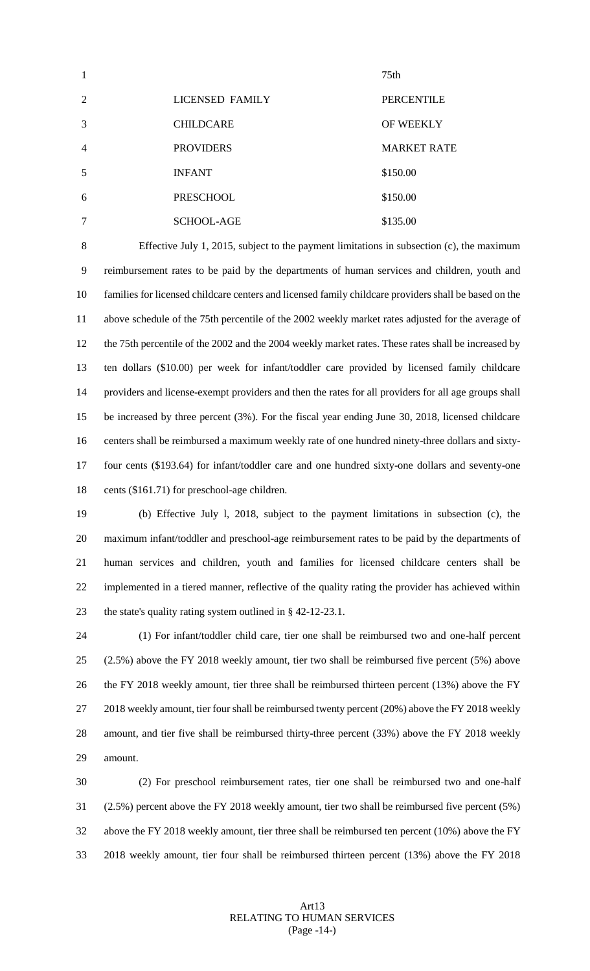|                |                        | 75th               |
|----------------|------------------------|--------------------|
| 2              | <b>LICENSED FAMILY</b> | <b>PERCENTILE</b>  |
| 3              | <b>CHILDCARE</b>       | <b>OF WEEKLY</b>   |
| $\overline{4}$ | <b>PROVIDERS</b>       | <b>MARKET RATE</b> |
| 5              | <b>INFANT</b>          | \$150.00           |
| 6              | PRESCHOOL              | \$150.00           |
|                | <b>SCHOOL-AGE</b>      | \$135.00           |

 Effective July 1, 2015, subject to the payment limitations in subsection (c), the maximum reimbursement rates to be paid by the departments of human services and children, youth and families for licensed childcare centers and licensed family childcare providers shall be based on the above schedule of the 75th percentile of the 2002 weekly market rates adjusted for the average of the 75th percentile of the 2002 and the 2004 weekly market rates. These rates shall be increased by ten dollars (\$10.00) per week for infant/toddler care provided by licensed family childcare providers and license-exempt providers and then the rates for all providers for all age groups shall be increased by three percent (3%). For the fiscal year ending June 30, 2018, licensed childcare centers shall be reimbursed a maximum weekly rate of one hundred ninety-three dollars and sixty- four cents (\$193.64) for infant/toddler care and one hundred sixty-one dollars and seventy-one cents (\$161.71) for preschool-age children.

 (b) Effective July l, 2018, subject to the payment limitations in subsection (c), the maximum infant/toddler and preschool-age reimbursement rates to be paid by the departments of human services and children, youth and families for licensed childcare centers shall be implemented in a tiered manner, reflective of the quality rating the provider has achieved within 23 the state's quality rating system outlined in § 42-12-23.1.

 (1) For infant/toddler child care, tier one shall be reimbursed two and one-half percent (2.5%) above the FY 2018 weekly amount, tier two shall be reimbursed five percent (5%) above 26 the FY 2018 weekly amount, tier three shall be reimbursed thirteen percent (13%) above the FY 27 2018 weekly amount, tier four shall be reimbursed twenty percent (20%) above the FY 2018 weekly amount, and tier five shall be reimbursed thirty-three percent (33%) above the FY 2018 weekly amount.

 (2) For preschool reimbursement rates, tier one shall be reimbursed two and one-half (2.5%) percent above the FY 2018 weekly amount, tier two shall be reimbursed five percent (5%) above the FY 2018 weekly amount, tier three shall be reimbursed ten percent (10%) above the FY 2018 weekly amount, tier four shall be reimbursed thirteen percent (13%) above the FY 2018

#### Art13 RELATING TO HUMAN SERVICES (Page -14-)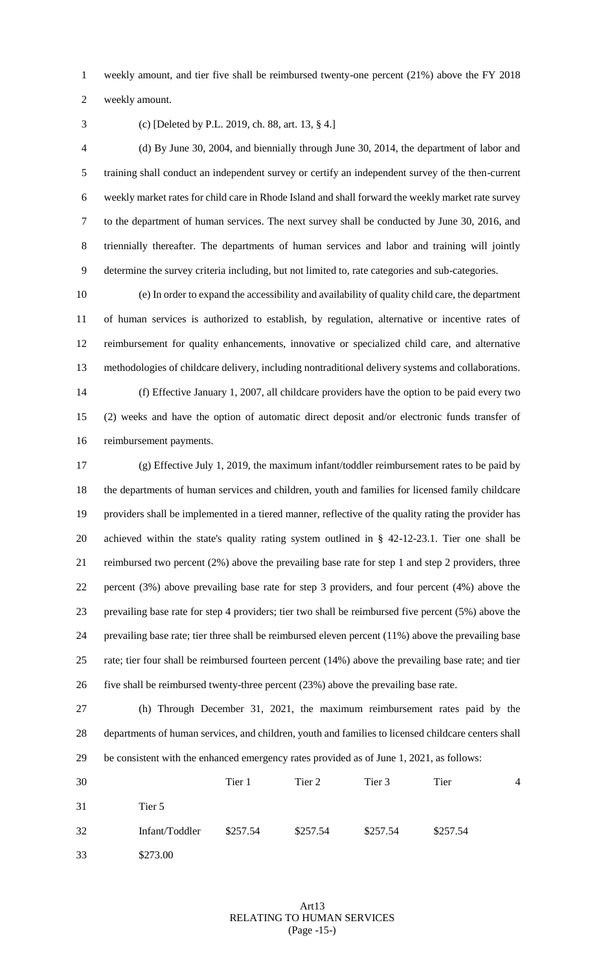weekly amount, and tier five shall be reimbursed twenty-one percent (21%) above the FY 2018

weekly amount.

(c) [Deleted by P.L. 2019, ch. 88, art. 13, § 4.]

 (d) By June 30, 2004, and biennially through June 30, 2014, the department of labor and training shall conduct an independent survey or certify an independent survey of the then-current weekly market rates for child care in Rhode Island and shall forward the weekly market rate survey to the department of human services. The next survey shall be conducted by June 30, 2016, and triennially thereafter. The departments of human services and labor and training will jointly determine the survey criteria including, but not limited to, rate categories and sub-categories.

 (e) In order to expand the accessibility and availability of quality child care, the department of human services is authorized to establish, by regulation, alternative or incentive rates of reimbursement for quality enhancements, innovative or specialized child care, and alternative methodologies of childcare delivery, including nontraditional delivery systems and collaborations. (f) Effective January 1, 2007, all childcare providers have the option to be paid every two

 (2) weeks and have the option of automatic direct deposit and/or electronic funds transfer of reimbursement payments.

 (g) Effective July 1, 2019, the maximum infant/toddler reimbursement rates to be paid by the departments of human services and children, youth and families for licensed family childcare providers shall be implemented in a tiered manner, reflective of the quality rating the provider has achieved within the state's quality rating system outlined in § 42-12-23.1. Tier one shall be reimbursed two percent (2%) above the prevailing base rate for step 1 and step 2 providers, three percent (3%) above prevailing base rate for step 3 providers, and four percent (4%) above the prevailing base rate for step 4 providers; tier two shall be reimbursed five percent (5%) above the prevailing base rate; tier three shall be reimbursed eleven percent (11%) above the prevailing base rate; tier four shall be reimbursed fourteen percent (14%) above the prevailing base rate; and tier five shall be reimbursed twenty-three percent (23%) above the prevailing base rate.

 (h) Through December 31, 2021, the maximum reimbursement rates paid by the departments of human services, and children, youth and families to licensed childcare centers shall be consistent with the enhanced emergency rates provided as of June 1, 2021, as follows:

| 30 |                | Tier 1   | Tier 2   | Tier 3   | Tier     | $\overline{4}$ |
|----|----------------|----------|----------|----------|----------|----------------|
| 31 | Tier 5         |          |          |          |          |                |
| 32 | Infant/Toddler | \$257.54 | \$257.54 | \$257.54 | \$257.54 |                |
| 33 | \$273.00       |          |          |          |          |                |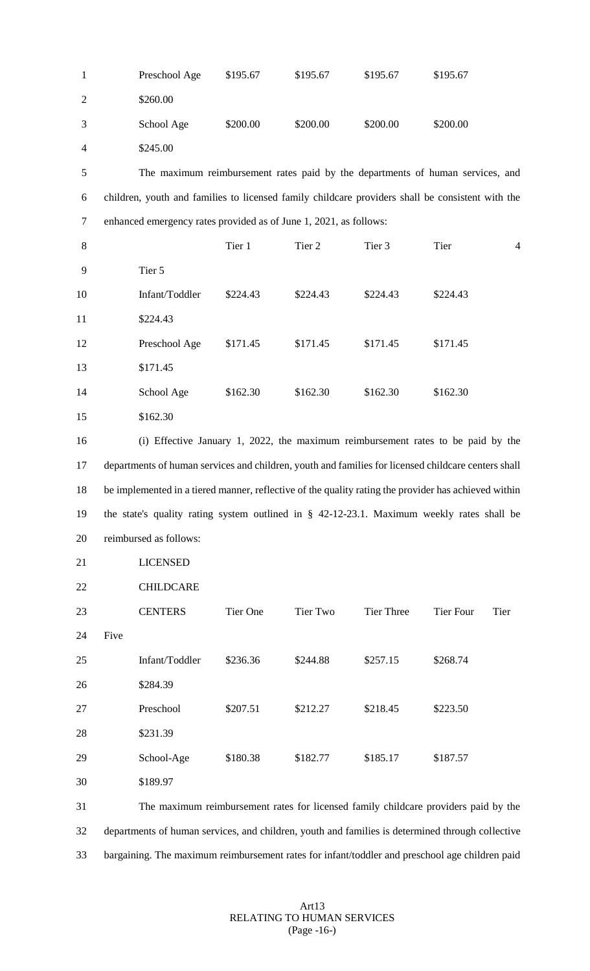| $\mathbf{1}$   | Preschool Age                                                                                        | \$195.67 | \$195.67        | \$195.67   | \$195.67         |                |  |
|----------------|------------------------------------------------------------------------------------------------------|----------|-----------------|------------|------------------|----------------|--|
| $\mathfrak{2}$ | \$260.00                                                                                             |          |                 |            |                  |                |  |
| 3              | School Age                                                                                           | \$200.00 | \$200.00        | \$200.00   | \$200.00         |                |  |
| 4              | \$245.00                                                                                             |          |                 |            |                  |                |  |
| 5              | The maximum reimbursement rates paid by the departments of human services, and                       |          |                 |            |                  |                |  |
| 6              | children, youth and families to licensed family childcare providers shall be consistent with the     |          |                 |            |                  |                |  |
| $\tau$         | enhanced emergency rates provided as of June 1, 2021, as follows:                                    |          |                 |            |                  |                |  |
| 8              |                                                                                                      | Tier 1   | Tier 2          | Tier 3     | Tier             | $\overline{4}$ |  |
| 9              | Tier 5                                                                                               |          |                 |            |                  |                |  |
| 10             | Infant/Toddler                                                                                       | \$224.43 | \$224.43        | \$224.43   | \$224.43         |                |  |
| 11             | \$224.43                                                                                             |          |                 |            |                  |                |  |
| 12             | Preschool Age                                                                                        | \$171.45 | \$171.45        | \$171.45   | \$171.45         |                |  |
| 13             | \$171.45                                                                                             |          |                 |            |                  |                |  |
| 14             | School Age                                                                                           | \$162.30 | \$162.30        | \$162.30   | \$162.30         |                |  |
| 15             | \$162.30                                                                                             |          |                 |            |                  |                |  |
| 16             | (i) Effective January 1, 2022, the maximum reimbursement rates to be paid by the                     |          |                 |            |                  |                |  |
| 17             | departments of human services and children, youth and families for licensed childcare centers shall  |          |                 |            |                  |                |  |
| 18             | be implemented in a tiered manner, reflective of the quality rating the provider has achieved within |          |                 |            |                  |                |  |
| 19             | the state's quality rating system outlined in $\S$ 42-12-23.1. Maximum weekly rates shall be         |          |                 |            |                  |                |  |
| 20             | reimbursed as follows:                                                                               |          |                 |            |                  |                |  |
| 21             | <b>LICENSED</b>                                                                                      |          |                 |            |                  |                |  |
| 22             | <b>CHILDCARE</b>                                                                                     |          |                 |            |                  |                |  |
| 23             | <b>CENTERS</b>                                                                                       | Tier One | <b>Tier Two</b> | Tier Three | <b>Tier Four</b> | Tier           |  |
| 24             | Five                                                                                                 |          |                 |            |                  |                |  |
| 25             | Infant/Toddler                                                                                       | \$236.36 | \$244.88        | \$257.15   | \$268.74         |                |  |
| 26             | \$284.39                                                                                             |          |                 |            |                  |                |  |
| 27             | Preschool                                                                                            | \$207.51 | \$212.27        | \$218.45   | \$223.50         |                |  |
| 28             | \$231.39                                                                                             |          |                 |            |                  |                |  |
| 29             | School-Age                                                                                           | \$180.38 | \$182.77        | \$185.17   | \$187.57         |                |  |
| 30             | \$189.97                                                                                             |          |                 |            |                  |                |  |
| 31             | The maximum reimbursement rates for licensed family childcare providers paid by the                  |          |                 |            |                  |                |  |
| 32             | departments of human services, and children, youth and families is determined through collective     |          |                 |            |                  |                |  |
| 33             | bargaining. The maximum reimbursement rates for infant/toddler and preschool age children paid       |          |                 |            |                  |                |  |

#### Art13 RELATING TO HUMAN SERVICES (Page -16-)